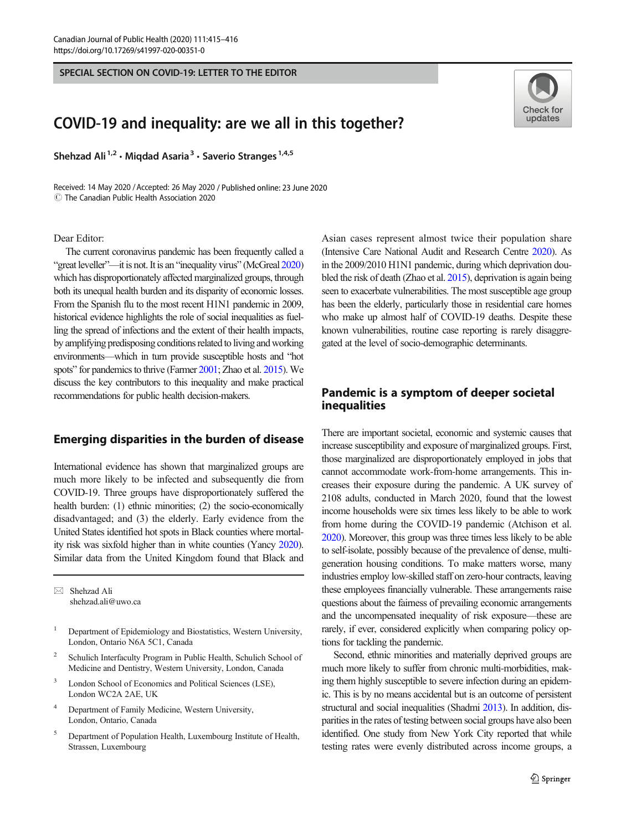SPECIAL SECTION ON COVID-19: LETTER TO THE EDITOR

# COVID-19 and inequality: are we all in this together?

Shehzad Ali<sup>1,2</sup> · Migdad Asaria<sup>3</sup> · Saverio Stranges<sup>1,4,5</sup>

Received: 14 May 2020 / Accepted: 26 May 2020 / Published online: 23 June 2020  $\circled{c}$  The Canadian Public Health Association 2020

#### Dear Editor:

The current coronavirus pandemic has been frequently called a "great leveller"—it is not. It is an "inequality virus" (McGreal [2020\)](#page-1-0) which has disproportionately affected marginalized groups, through both its unequal health burden and its disparity of economic losses. From the Spanish flu to the most recent H1N1 pandemic in 2009, historical evidence highlights the role of social inequalities as fuelling the spread of infections and the extent of their health impacts, by amplifying predisposing conditions related to living and working environments—which in turn provide susceptible hosts and "hot spots" for pandemics to thrive (Farmer [2001](#page-1-0); Zhao et al. [2015\)](#page-1-0). We discuss the key contributors to this inequality and make practical recommendations for public health decision-makers.

#### Emerging disparities in the burden of disease

International evidence has shown that marginalized groups are much more likely to be infected and subsequently die from COVID-19. Three groups have disproportionately suffered the health burden: (1) ethnic minorities; (2) the socio-economically disadvantaged; and (3) the elderly. Early evidence from the United States identified hot spots in Black counties where mortality risk was sixfold higher than in white counties (Yancy [2020\)](#page-1-0). Similar data from the United Kingdom found that Black and

 $\boxtimes$  Shehzad Ali [shehzad.ali@uwo.ca](mailto:shehzad.ali@uwo.ca)

- <sup>1</sup> Department of Epidemiology and Biostatistics, Western University, London, Ontario N6A 5C1, Canada
- <sup>2</sup> Schulich Interfaculty Program in Public Health, Schulich School of Medicine and Dentistry, Western University, London, Canada
- London School of Economics and Political Sciences (LSE), London WC2A 2AE, UK
- <sup>4</sup> Department of Family Medicine, Western University, London, Ontario, Canada
- <sup>5</sup> Department of Population Health, Luxembourg Institute of Health, Strassen, Luxembourg

Asian cases represent almost twice their population share (Intensive Care National Audit and Research Centre [2020\)](#page-1-0). As in the 2009/2010 H1N1 pandemic, during which deprivation doubled the risk of death (Zhao et al. [2015](#page-1-0)), deprivation is again being seen to exacerbate vulnerabilities. The most susceptible age group has been the elderly, particularly those in residential care homes who make up almost half of COVID-19 deaths. Despite these known vulnerabilities, routine case reporting is rarely disaggregated at the level of socio-demographic determinants.

### Pandemic is a symptom of deeper societal inequalities

There are important societal, economic and systemic causes that increase susceptibility and exposure of marginalized groups. First, those marginalized are disproportionately employed in jobs that cannot accommodate work-from-home arrangements. This increases their exposure during the pandemic. A UK survey of 2108 adults, conducted in March 2020, found that the lowest income households were six times less likely to be able to work from home during the COVID-19 pandemic (Atchison et al. [2020\)](#page-1-0). Moreover, this group was three times less likely to be able to self-isolate, possibly because of the prevalence of dense, multigeneration housing conditions. To make matters worse, many industries employ low-skilled staff on zero-hour contracts, leaving these employees financially vulnerable. These arrangements raise questions about the fairness of prevailing economic arrangements and the uncompensated inequality of risk exposure—these are rarely, if ever, considered explicitly when comparing policy options for tackling the pandemic.

Second, ethnic minorities and materially deprived groups are much more likely to suffer from chronic multi-morbidities, making them highly susceptible to severe infection during an epidemic. This is by no means accidental but is an outcome of persistent structural and social inequalities (Shadmi [2013](#page-1-0)). In addition, disparities in the rates of testing between social groups have also been identified. One study from New York City reported that while testing rates were evenly distributed across income groups, a